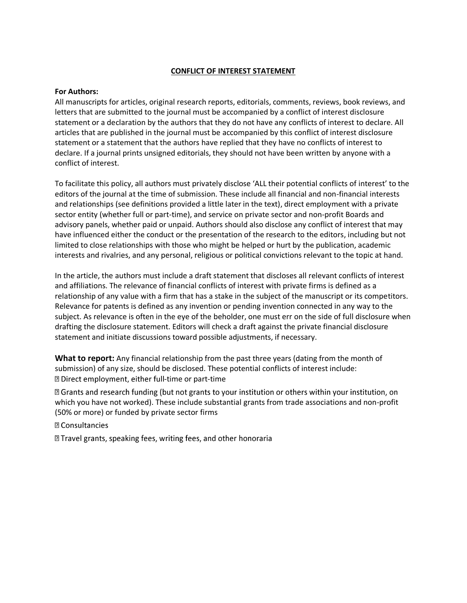## **CONFLICT OF INTEREST STATEMENT**

## **For Authors:**

All manuscripts for articles, original research reports, editorials, comments, reviews, book reviews, and letters that are submitted to the journal must be accompanied by a conflict of interest disclosure statement or a declaration by the authors that they do not have any conflicts of interest to declare. All articles that are published in the journal must be accompanied by this conflict of interest disclosure statement or a statement that the authors have replied that they have no conflicts of interest to declare. If a journal prints unsigned editorials, they should not have been written by anyone with a conflict of interest.

To facilitate this policy, all authors must privately disclose 'ALL their potential conflicts of interest' to the editors of the journal at the time of submission. These include all financial and non-financial interests and relationships (see definitions provided a little later in the text), direct employment with a private sector entity (whether full or part-time), and service on private sector and non-profit Boards and advisory panels, whether paid or unpaid. Authors should also disclose any conflict of interest that may have influenced either the conduct or the presentation of the research to the editors, including but not limited to close relationships with those who might be helped or hurt by the publication, academic interests and rivalries, and any personal, religious or political convictions relevant to the topic at hand.

In the article, the authors must include a draft statement that discloses all relevant conflicts of interest and affiliations. The relevance of financial conflicts of interest with private firms is defined as a relationship of any value with a firm that has a stake in the subject of the manuscript or its competitors. Relevance for patents is defined as any invention or pending invention connected in any way to the subject. As relevance is often in the eye of the beholder, one must err on the side of full disclosure when drafting the disclosure statement. Editors will check a draft against the private financial disclosure statement and initiate discussions toward possible adjustments, if necessary.

**What to report:** Any financial relationship from the past three years (dating from the month of submission) of any size, should be disclosed. These potential conflicts of interest include: **D** Direct employment, either full-time or part-time

**Z** Grants and research funding (but not grants to your institution or others within your institution, on which you have not worked). These include substantial grants from trade associations and non-profit (50% or more) or funded by private sector firms

**2 Consultancies** 

**sqrtMerian Travel grants, speaking fees, writing fees, and other honoraria**